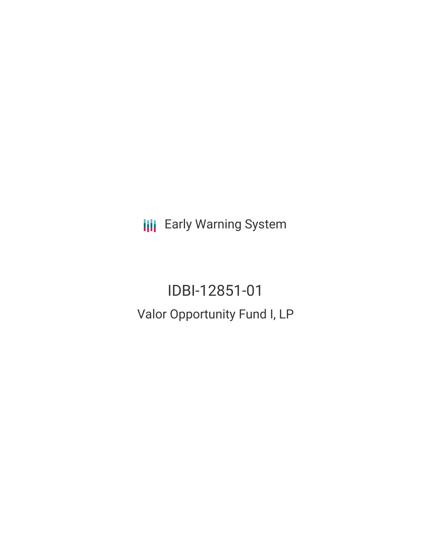**III** Early Warning System

IDBI-12851-01 Valor Opportunity Fund I, LP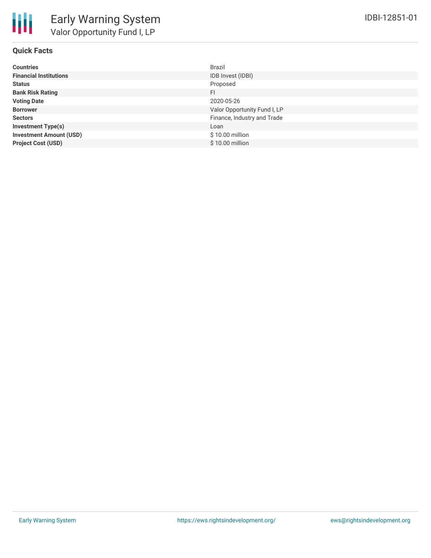

# **Quick Facts**

| <b>Countries</b>               | <b>Brazil</b>                |
|--------------------------------|------------------------------|
| <b>Financial Institutions</b>  | IDB Invest (IDBI)            |
| <b>Status</b>                  | Proposed                     |
| <b>Bank Risk Rating</b>        | FI.                          |
| <b>Voting Date</b>             | 2020-05-26                   |
| <b>Borrower</b>                | Valor Opportunity Fund I, LP |
| <b>Sectors</b>                 | Finance, Industry and Trade  |
| <b>Investment Type(s)</b>      | Loan                         |
| <b>Investment Amount (USD)</b> | \$10.00 million              |
| <b>Project Cost (USD)</b>      | \$10.00 million              |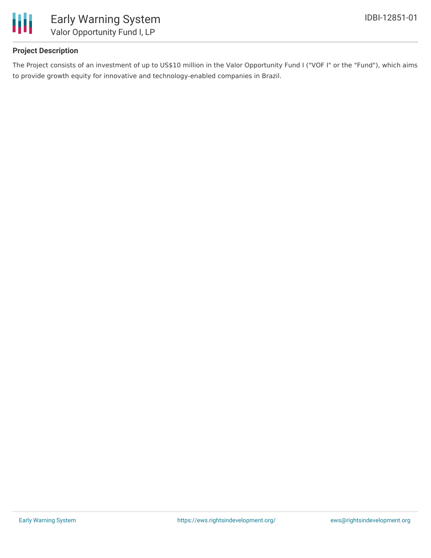

## **Project Description**

The Project consists of an investment of up to US\$10 million in the Valor Opportunity Fund I ("VOF I" or the "Fund"), which aims to provide growth equity for innovative and technology-enabled companies in Brazil.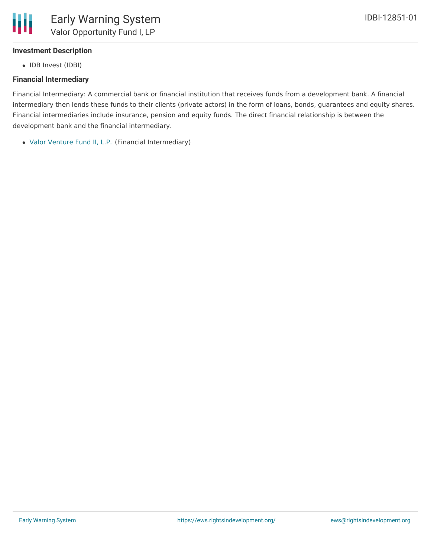#### **Investment Description**

• IDB Invest (IDBI)

### **Financial Intermediary**

Financial Intermediary: A commercial bank or financial institution that receives funds from a development bank. A financial intermediary then lends these funds to their clients (private actors) in the form of loans, bonds, guarantees and equity shares. Financial intermediaries include insurance, pension and equity funds. The direct financial relationship is between the development bank and the financial intermediary.

Valor [Venture](file:///actor/1079/) Fund II, L.P. (Financial Intermediary)